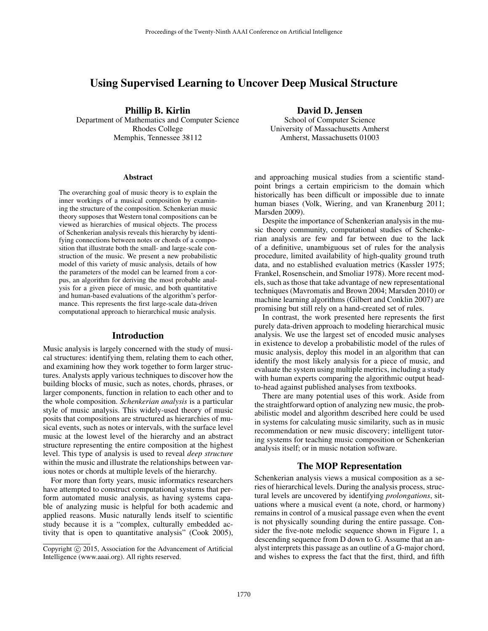# Using Supervised Learning to Uncover Deep Musical Structure

Phillip B. Kirlin

Department of Mathematics and Computer Science Rhodes College Memphis, Tennessee 38112

#### Abstract

The overarching goal of music theory is to explain the inner workings of a musical composition by examining the structure of the composition. Schenkerian music theory supposes that Western tonal compositions can be viewed as hierarchies of musical objects. The process of Schenkerian analysis reveals this hierarchy by identifying connections between notes or chords of a composition that illustrate both the small- and large-scale construction of the music. We present a new probabilistic model of this variety of music analysis, details of how the parameters of the model can be learned from a corpus, an algorithm for deriving the most probable analysis for a given piece of music, and both quantitative and human-based evaluations of the algorithm's performance. This represents the first large-scale data-driven computational approach to hierarchical music analysis.

#### Introduction

Music analysis is largely concerned with the study of musical structures: identifying them, relating them to each other, and examining how they work together to form larger structures. Analysts apply various techniques to discover how the building blocks of music, such as notes, chords, phrases, or larger components, function in relation to each other and to the whole composition. *Schenkerian analysis* is a particular style of music analysis. This widely-used theory of music posits that compositions are structured as hierarchies of musical events, such as notes or intervals, with the surface level music at the lowest level of the hierarchy and an abstract structure representing the entire composition at the highest level. This type of analysis is used to reveal *deep structure* within the music and illustrate the relationships between various notes or chords at multiple levels of the hierarchy.

For more than forty years, music informatics researchers have attempted to construct computational systems that perform automated music analysis, as having systems capable of analyzing music is helpful for both academic and applied reasons. Music naturally lends itself to scientific study because it is a "complex, culturally embedded activity that is open to quantitative analysis" (Cook 2005),

### David D. Jensen

School of Computer Science University of Massachusetts Amherst Amherst, Massachusetts 01003

and approaching musical studies from a scientific standpoint brings a certain empiricism to the domain which historically has been difficult or impossible due to innate human biases (Volk, Wiering, and van Kranenburg 2011; Marsden 2009).

Despite the importance of Schenkerian analysis in the music theory community, computational studies of Schenkerian analysis are few and far between due to the lack of a definitive, unambiguous set of rules for the analysis procedure, limited availability of high-quality ground truth data, and no established evaluation metrics (Kassler 1975; Frankel, Rosenschein, and Smoliar 1978). More recent models, such as those that take advantage of new representational techniques (Mavromatis and Brown 2004; Marsden 2010) or machine learning algorithms (Gilbert and Conklin 2007) are promising but still rely on a hand-created set of rules.

In contrast, the work presented here represents the first purely data-driven approach to modeling hierarchical music analysis. We use the largest set of encoded music analyses in existence to develop a probabilistic model of the rules of music analysis, deploy this model in an algorithm that can identify the most likely analysis for a piece of music, and evaluate the system using multiple metrics, including a study with human experts comparing the algorithmic output headto-head against published analyses from textbooks.

There are many potential uses of this work. Aside from the straightforward option of analyzing new music, the probabilistic model and algorithm described here could be used in systems for calculating music similarity, such as in music recommendation or new music discovery; intelligent tutoring systems for teaching music composition or Schenkerian analysis itself; or in music notation software.

### The MOP Representation

Schenkerian analysis views a musical composition as a series of hierarchical levels. During the analysis process, structural levels are uncovered by identifying *prolongations*, situations where a musical event (a note, chord, or harmony) remains in control of a musical passage even when the event is not physically sounding during the entire passage. Consider the five-note melodic sequence shown in Figure 1, a descending sequence from D down to G. Assume that an analyst interprets this passage as an outline of a G-major chord, and wishes to express the fact that the first, third, and fifth

Copyright © 2015, Association for the Advancement of Artificial Intelligence (www.aaai.org). All rights reserved.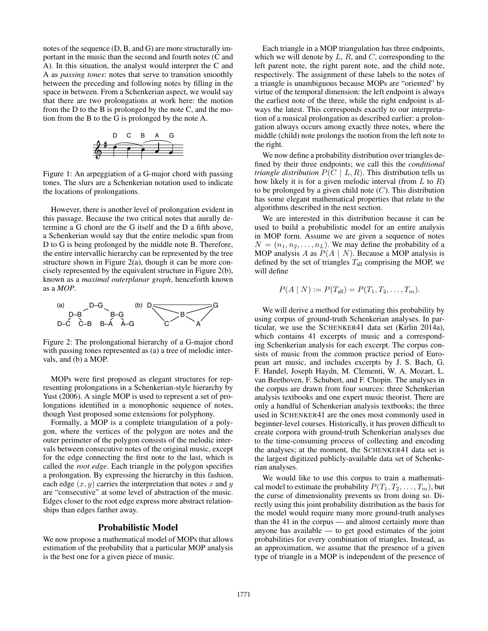notes of the sequence (D, B, and G) are more structurally important in the music than the second and fourth notes (C and A). In this situation, the analyst would interpret the C and A as *passing tones*: notes that serve to transition smoothly between the preceding and following notes by filling in the space in between. From a Schenkerian aspect, we would say that there are two prolongations at work here: the motion from the D to the B is prolonged by the note C, and the motion from the B to the G is prolonged by the note A.



Figure 1: An arpeggiation of a G-major chord with passing tones. The slurs are a Schenkerian notation used to indicate the locations of prolongations.

However, there is another level of prolongation evident in this passage. Because the two critical notes that aurally determine a G chord are the G itself and the D a fifth above, a Schenkerian would say that the entire melodic span from D to G is being prolonged by the middle note B. Therefore, the entire intervallic hierarchy can be represented by the tree structure shown in Figure 2(a), though it can be more concisely represented by the equivalent structure in Figure 2(b), known as a *maximal outerplanar graph*, henceforth known as a *MOP*.



Figure 2: The prolongational hierarchy of a G-major chord with passing tones represented as (a) a tree of melodic intervals, and (b) a MOP.

MOPs were first proposed as elegant structures for representing prolongations in a Schenkerian-style hierarchy by Yust (2006). A single MOP is used to represent a set of prolongations identified in a monophonic sequence of notes, though Yust proposed some extensions for polyphony.

Formally, a MOP is a complete triangulation of a polygon, where the vertices of the polygon are notes and the outer perimeter of the polygon consists of the melodic intervals between consecutive notes of the original music, except for the edge connecting the first note to the last, which is called the *root edge*. Each triangle in the polygon specifies a prolongation. By expressing the hierarchy in this fashion, each edge  $(x, y)$  carries the interpretation that notes x and y are "consecutive" at some level of abstraction of the music. Edges closer to the root edge express more abstract relationships than edges farther away.

## Probabilistic Model

We now propose a mathematical model of MOPs that allows estimation of the probability that a particular MOP analysis is the best one for a given piece of music.

Each triangle in a MOP triangulation has three endpoints, which we will denote by  $L, R$ , and  $C$ , corresponding to the left parent note, the right parent note, and the child note, respectively. The assignment of these labels to the notes of a triangle is unambiguous because MOPs are "oriented" by virtue of the temporal dimension: the left endpoint is always the earliest note of the three, while the right endpoint is always the latest. This corresponds exactly to our interpretation of a musical prolongation as described earlier: a prolongation always occurs among exactly three notes, where the middle (child) note prolongs the motion from the left note to the right.

We now define a probability distribution over triangles defined by their three endpoints; we call this the *conditional triangle distribution*  $P(C | L, R)$ . This distribution tells us how likely it is for a given melodic interval (from  $L$  to  $R$ ) to be prolonged by a given child note  $(C)$ . This distribution has some elegant mathematical properties that relate to the algorithms described in the next section.

We are interested in this distribution because it can be used to build a probabilistic model for an entire analysis in MOP form. Assume we are given a sequence of notes  $N = (n_1, n_2, \dots, n_L)$ . We may define the probability of a MOP analysis A as  $P(A \mid N)$ . Because a MOP analysis is defined by the set of triangles  $T_{all}$  comprising the MOP, we will define

$$
P(A | N) := P(T_{all}) = P(T_1, T_2, \dots, T_m).
$$

We will derive a method for estimating this probability by using corpus of ground-truth Schenkerian analyses. In particular, we use the SCHENKER41 data set (Kirlin 2014a), which contains 41 excerpts of music and a corresponding Schenkerian analysis for each excerpt. The corpus consists of music from the common practice period of European art music, and includes excerpts by J. S. Bach, G. F. Handel, Joseph Haydn, M. Clementi, W. A. Mozart, L. van Beethoven, F. Schubert, and F. Chopin. The analyses in the corpus are drawn from four sources: three Schenkerian analysis textbooks and one expert music theorist. There are only a handful of Schenkerian analysis textbooks; the three used in SCHENKER41 are the ones most commonly used in beginner-level courses. Historically, it has proven difficult to create corpora with ground-truth Schenkerian analyses due to the time-consuming process of collecting and encoding the analyses; at the moment, the SCHENKER41 data set is the largest digitized publicly-available data set of Schenkerian analyses.

We would like to use this corpus to train a mathematical model to estimate the probability  $P(T_1, T_2, \ldots, T_m)$ , but the curse of dimensionality prevents us from doing so. Directly using this joint probability distribution as the basis for the model would require many more ground-truth analyses than the 41 in the corpus — and almost certainly more than anyone has available — to get good estimates of the joint probabilities for every combination of triangles. Instead, as an approximation, we assume that the presence of a given type of triangle in a MOP is independent of the presence of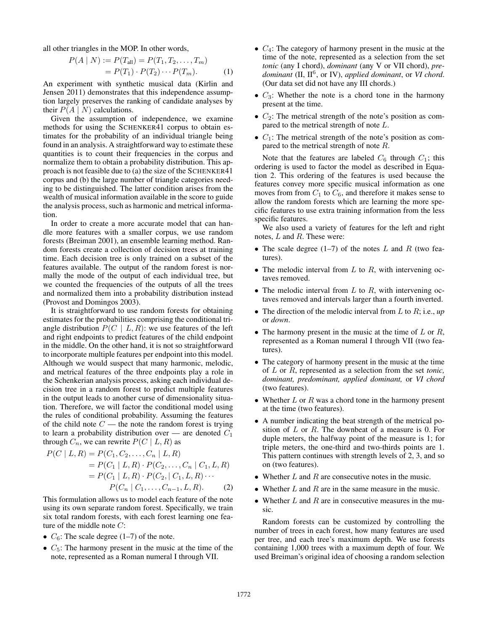all other triangles in the MOP. In other words,

$$
P(A | N) := P(T_{\text{all}}) = P(T_1, T_2, ..., T_m)
$$
  
=  $P(T_1) \cdot P(T_2) \cdots P(T_m).$  (1)

An experiment with synthetic musical data (Kirlin and Jensen 2011) demonstrates that this independence assumption largely preserves the ranking of candidate analyses by their  $P(A \mid N)$  calculations.

Given the assumption of independence, we examine methods for using the SCHENKER41 corpus to obtain estimates for the probability of an individual triangle being found in an analysis. A straightforward way to estimate these quantities is to count their frequencies in the corpus and normalize them to obtain a probability distribution. This approach is not feasible due to (a) the size of the SCHENKER41 corpus and (b) the large number of triangle categories needing to be distinguished. The latter condition arises from the wealth of musical information available in the score to guide the analysis process, such as harmonic and metrical information.

In order to create a more accurate model that can handle more features with a smaller corpus, we use random forests (Breiman 2001), an ensemble learning method. Random forests create a collection of decision trees at training time. Each decision tree is only trained on a subset of the features available. The output of the random forest is normally the mode of the output of each individual tree, but we counted the frequencies of the outputs of all the trees and normalized them into a probability distribution instead (Provost and Domingos 2003).

It is straightforward to use random forests for obtaining estimates for the probabilities comprising the conditional triangle distribution  $P(C | L, R)$ : we use features of the left and right endpoints to predict features of the child endpoint in the middle. On the other hand, it is not so straightforward to incorporate multiple features per endpoint into this model. Although we would suspect that many harmonic, melodic, and metrical features of the three endpoints play a role in the Schenkerian analysis process, asking each individual decision tree in a random forest to predict multiple features in the output leads to another curse of dimensionality situation. Therefore, we will factor the conditional model using the rules of conditional probability. Assuming the features of the child note  $C$  — the note the random forest is trying to learn a probability distribution over — are denoted  $C_1$ through  $C_n$ , we can rewrite  $P(C | L, R)$  as

$$
P(C | L, R) = P(C_1, C_2, ..., C_n | L, R)
$$
  
=  $P(C_1 | L, R) \cdot P(C_2, ..., C_n | C_1, L, R)$   
=  $P(C_1 | L, R) \cdot P(C_2, | C_1, L, R) \cdot \cdot \cdot$   
 $P(C_n | C_1, ..., C_{n-1}, L, R).$  (2)

This formulation allows us to model each feature of the note using its own separate random forest. Specifically, we train six total random forests, with each forest learning one feature of the middle note  $C$ :

- $C_6$ : The scale degree (1–7) of the note.
- $C_5$ : The harmony present in the music at the time of the note, represented as a Roman numeral I through VII.
- $C_4$ : The category of harmony present in the music at the time of the note, represented as a selection from the set *tonic* (any I chord), *dominant* (any V or VII chord), *predominant* (II, II<sup>6</sup> , or IV), *applied dominant*, or *VI chord*. (Our data set did not have any III chords.)
- $C_3$ : Whether the note is a chord tone in the harmony present at the time.
- $C_2$ : The metrical strength of the note's position as compared to the metrical strength of note L.
- $C_1$ : The metrical strength of the note's position as compared to the metrical strength of note R.

Note that the features are labeled  $C_6$  through  $C_1$ ; this ordering is used to factor the model as described in Equation 2. This ordering of the features is used because the features convey more specific musical information as one moves from from  $C_1$  to  $C_6$ , and therefore it makes sense to allow the random forests which are learning the more specific features to use extra training information from the less specific features.

We also used a variety of features for the left and right notes, L and R. These were:

- The scale degree  $(1-7)$  of the notes L and R (two features).
- The melodic interval from  $L$  to  $R$ , with intervening octaves removed.
- The melodic interval from  $L$  to  $R$ , with intervening octaves removed and intervals larger than a fourth inverted.
- The direction of the melodic interval from L to R; i.e., up or *down*.
- The harmony present in the music at the time of  $L$  or  $R$ , represented as a Roman numeral I through VII (two features).
- The category of harmony present in the music at the time of L or R, represented as a selection from the set *tonic, dominant, predominant, applied dominant,* or *VI chord* (two features).
- Whether  $L$  or  $R$  was a chord tone in the harmony present at the time (two features).
- A number indicating the beat strength of the metrical position of  $L$  or  $R$ . The downbeat of a measure is 0. For duple meters, the halfway point of the measure is 1; for triple meters, the one-third and two-thirds points are 1. This pattern continues with strength levels of 2, 3, and so on (two features).
- Whether  $L$  and  $R$  are consecutive notes in the music.
- Whether  $L$  and  $R$  are in the same measure in the music.
- Whether  $L$  and  $R$  are in consecutive measures in the music.

Random forests can be customized by controlling the number of trees in each forest, how many features are used per tree, and each tree's maximum depth. We use forests containing 1,000 trees with a maximum depth of four. We used Breiman's original idea of choosing a random selection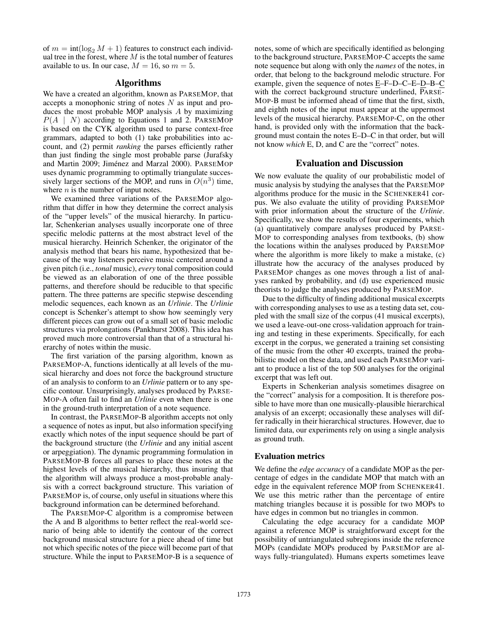of  $m = \text{int}(\log_2 M + 1)$  features to construct each individual tree in the forest, where  $M$  is the total number of features available to us. In our case,  $M = 16$ , so  $m = 5$ .

## Algorithms

We have a created an algorithm, known as PARSEMOP, that accepts a monophonic string of notes N as input and produces the most probable MOP analysis A by maximizing  $P(A \mid N)$  according to Equations 1 and 2. PARSEMOP is based on the CYK algorithm used to parse context-free grammars, adapted to both (1) take probabilities into account, and (2) permit *ranking* the parses efficiently rather than just finding the single most probable parse (Jurafsky and Martin 2009; Jiménez and Marzal 2000). PARSEMOP uses dynamic programming to optimally triangulate successively larger sections of the MOP, and runs in  $O(n^3)$  time, where  $n$  is the number of input notes.

We examined three variations of the PARSEMOP algorithm that differ in how they determine the correct analysis of the "upper levels" of the musical hierarchy. In particular, Schenkerian analyses usually incorporate one of three specific melodic patterns at the most abstract level of the musical hierarchy. Heinrich Schenker, the originator of the analysis method that bears his name, hypothesized that because of the way listeners perceive music centered around a given pitch (i.e., *tonal* music), *every* tonal composition could be viewed as an elaboration of one of the three possible patterns, and therefore should be reducible to that specific pattern. The three patterns are specific stepwise descending melodic sequences, each known as an *Urlinie*. The *Urlinie* concept is Schenker's attempt to show how seemingly very different pieces can grow out of a small set of basic melodic structures via prolongations (Pankhurst 2008). This idea has proved much more controversial than that of a structural hierarchy of notes within the music.

The first variation of the parsing algorithm, known as PARSEMOP-A, functions identically at all levels of the musical hierarchy and does not force the background structure of an analysis to conform to an *Urlinie* pattern or to any specific contour. Unsurprisingly, analyses produced by PARSE-MOP-A often fail to find an *Urlinie* even when there is one in the ground-truth interpretation of a note sequence.

In contrast, the PARSEMOP-B algorithm accepts not only a sequence of notes as input, but also information specifying exactly which notes of the input sequence should be part of the background structure (the *Urlinie* and any initial ascent or arpeggiation). The dynamic programming formulation in PARSEMOP-B forces all parses to place these notes at the highest levels of the musical hierarchy, thus insuring that the algorithm will always produce a most-probable analysis with a correct background structure. This variation of PARSEMOP is, of course, only useful in situations where this background information can be determined beforehand.

The PARSEMOP-C algorithm is a compromise between the A and B algorithms to better reflect the real-world scenario of being able to identify the contour of the correct background musical structure for a piece ahead of time but not which specific notes of the piece will become part of that structure. While the input to PARSEMOP-B is a sequence of

notes, some of which are specifically identified as belonging to the background structure, PARSEMOP-C accepts the same note sequence but along with only the *names* of the notes, in order, that belong to the background melodic structure. For example, given the sequence of notes E–F–D–C–E–D–B–C with the correct background structure underlined, PARSE-MOP-B must be informed ahead of time that the first, sixth, and eighth notes of the input must appear at the uppermost levels of the musical hierarchy. PARSEMOP-C, on the other hand, is provided only with the information that the background must contain the notes E–D–C in that order, but will not know *which* E, D, and C are the "correct" notes.

## Evaluation and Discussion

We now evaluate the quality of our probabilistic model of music analysis by studying the analyses that the PARSEMOP algorithms produce for the music in the SCHENKER41 corpus. We also evaluate the utility of providing PARSEMOP with prior information about the structure of the *Urlinie*. Specifically, we show the results of four experiments, which (a) quantitatively compare analyses produced by PARSE-MOP to corresponding analyses from textbooks, (b) show the locations within the analyses produced by PARSEMOP where the algorithm is more likely to make a mistake, (c) illustrate how the accuracy of the analyses produced by PARSEMOP changes as one moves through a list of analyses ranked by probability, and (d) use experienced music theorists to judge the analyses produced by PARSEMOP.

Due to the difficulty of finding additional musical excerpts with corresponding analyses to use as a testing data set, coupled with the small size of the corpus (41 musical excerpts), we used a leave-out-one cross-validation approach for training and testing in these experiments. Specifically, for each excerpt in the corpus, we generated a training set consisting of the music from the other 40 excerpts, trained the probabilistic model on these data, and used each PARSEMOP variant to produce a list of the top 500 analyses for the original excerpt that was left out.

Experts in Schenkerian analysis sometimes disagree on the "correct" analysis for a composition. It is therefore possible to have more than one musically-plausible hierarchical analysis of an excerpt; occasionally these analyses will differ radically in their hierarchical structures. However, due to limited data, our experiments rely on using a single analysis as ground truth.

#### Evaluation metrics

We define the *edge accuracy* of a candidate MOP as the percentage of edges in the candidate MOP that match with an edge in the equivalent reference MOP from SCHENKER41. We use this metric rather than the percentage of entire matching triangles because it is possible for two MOPs to have edges in common but no triangles in common.

Calculating the edge accuracy for a candidate MOP against a reference MOP is straightforward except for the possibility of untriangulated subregions inside the reference MOPs (candidate MOPs produced by PARSEMOP are always fully-triangulated). Humans experts sometimes leave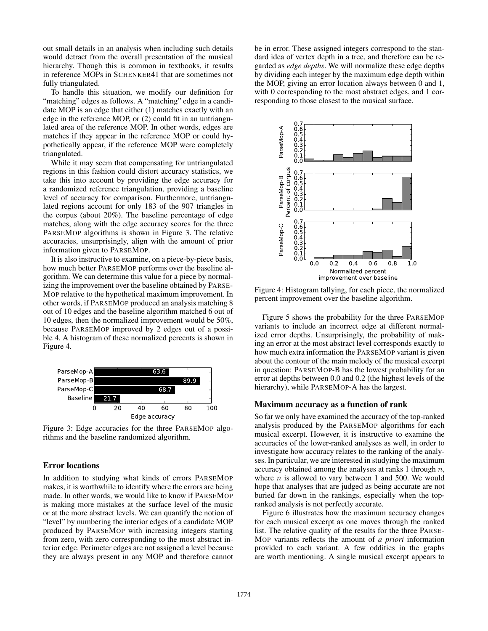out small details in an analysis when including such details would detract from the overall presentation of the musical hierarchy. Though this is common in textbooks, it results in reference MOPs in SCHENKER41 that are sometimes not fully triangulated.

To handle this situation, we modify our definition for "matching" edges as follows. A "matching" edge in a candidate MOP is an edge that either (1) matches exactly with an edge in the reference MOP, or (2) could fit in an untriangulated area of the reference MOP. In other words, edges are matches if they appear in the reference MOP or could hypothetically appear, if the reference MOP were completely triangulated.

While it may seem that compensating for untriangulated regions in this fashion could distort accuracy statistics, we take this into account by providing the edge accuracy for a randomized reference triangulation, providing a baseline level of accuracy for comparison. Furthermore, untriangulated regions account for only 183 of the 907 triangles in the corpus (about 20%). The baseline percentage of edge matches, along with the edge accuracy scores for the three PARSEMOP algorithms is shown in Figure 3. The relative accuracies, unsurprisingly, align with the amount of prior information given to PARSEMOP.

It is also instructive to examine, on a piece-by-piece basis, how much better PARSEMOP performs over the baseline algorithm. We can determine this value for a piece by normalizing the improvement over the baseline obtained by PARSE-MOP relative to the hypothetical maximum improvement. In other words, if PARSEMOP produced an analysis matching 8 out of 10 edges and the baseline algorithm matched 6 out of 10 edges, then the normalized improvement would be 50%, because PARSEMOP improved by 2 edges out of a possible 4. A histogram of these normalized percents is shown in Figure 4.



Figure 3: Edge accuracies for the three PARSEMOP algorithms and the baseline randomized algorithm.

## Error locations

In addition to studying what kinds of errors PARSEMOP makes, it is worthwhile to identify where the errors are being made. In other words, we would like to know if PARSEMOP is making more mistakes at the surface level of the music or at the more abstract levels. We can quantify the notion of "level" by numbering the interior edges of a candidate MOP produced by PARSEMOP with increasing integers starting from zero, with zero corresponding to the most abstract interior edge. Perimeter edges are not assigned a level because they are always present in any MOP and therefore cannot

be in error. These assigned integers correspond to the standard idea of vertex depth in a tree, and therefore can be regarded as *edge depths*. We will normalize these edge depths by dividing each integer by the maximum edge depth within the MOP, giving an error location always between 0 and 1, with 0 corresponding to the most abstract edges, and 1 corresponding to those closest to the musical surface.



Figure 4: Histogram tallying, for each piece, the normalized percent improvement over the baseline algorithm.

Figure 5 shows the probability for the three PARSEMOP variants to include an incorrect edge at different normalized error depths. Unsurprisingly, the probability of making an error at the most abstract level corresponds exactly to how much extra information the PARSEMOP variant is given about the contour of the main melody of the musical excerpt in question: PARSEMOP-B has the lowest probability for an error at depths between 0.0 and 0.2 (the highest levels of the hierarchy), while PARSEMOP-A has the largest.

## Maximum accuracy as a function of rank

So far we only have examined the accuracy of the top-ranked analysis produced by the PARSEMOP algorithms for each musical excerpt. However, it is instructive to examine the accuracies of the lower-ranked analyses as well, in order to investigate how accuracy relates to the ranking of the analyses. In particular, we are interested in studying the maximum accuracy obtained among the analyses at ranks 1 through  $n$ , where  $n$  is allowed to vary between 1 and 500. We would hope that analyses that are judged as being accurate are not buried far down in the rankings, especially when the topranked analysis is not perfectly accurate.

Figure 6 illustrates how the maximum accuracy changes for each musical excerpt as one moves through the ranked list. The relative quality of the results for the three PARSE-MOP variants reflects the amount of *a priori* information provided to each variant. A few oddities in the graphs are worth mentioning. A single musical excerpt appears to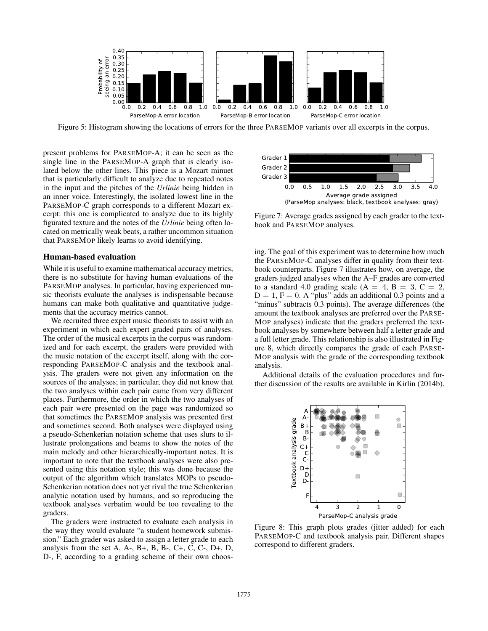

Figure 5: Histogram showing the locations of errors for the three PARSEMOP variants over all excerpts in the corpus.

present problems for PARSEMOP-A; it can be seen as the single line in the PARSEMOP-A graph that is clearly isolated below the other lines. This piece is a Mozart minuet that is particularly difficult to analyze due to repeated notes in the input and the pitches of the *Urlinie* being hidden in an inner voice. Interestingly, the isolated lowest line in the PARSEMOP-C graph corresponds to a different Mozart excerpt: this one is complicated to analyze due to its highly figurated texture and the notes of the *Urlinie* being often located on metrically weak beats, a rather uncommon situation that PARSEMOP likely learns to avoid identifying.

#### Human-based evaluation

While it is useful to examine mathematical accuracy metrics, there is no substitute for having human evaluations of the PARSEMOP analyses. In particular, having experienced music theorists evaluate the analyses is indispensable because humans can make both qualitative and quantitative judgements that the accuracy metrics cannot.

We recruited three expert music theorists to assist with an experiment in which each expert graded pairs of analyses. The order of the musical excerpts in the corpus was randomized and for each excerpt, the graders were provided with the music notation of the excerpt itself, along with the corresponding PARSEMOP-C analysis and the textbook analysis. The graders were not given any information on the sources of the analyses; in particular, they did not know that the two analyses within each pair came from very different places. Furthermore, the order in which the two analyses of each pair were presented on the page was randomized so that sometimes the PARSEMOP analysis was presented first and sometimes second. Both analyses were displayed using a pseudo-Schenkerian notation scheme that uses slurs to illustrate prolongations and beams to show the notes of the main melody and other hierarchically-important notes. It is important to note that the textbook analyses were also presented using this notation style; this was done because the output of the algorithm which translates MOPs to pseudo-Schenkerian notation does not yet rival the true Schenkerian analytic notation used by humans, and so reproducing the textbook analyses verbatim would be too revealing to the graders.

The graders were instructed to evaluate each analysis in the way they would evaluate "a student homework submission." Each grader was asked to assign a letter grade to each analysis from the set A, A-, B+, B, B-, C+, C, C-, D+, D, D-, F, according to a grading scheme of their own choos-



Figure 7: Average grades assigned by each grader to the textbook and PARSEMOP analyses.

ing. The goal of this experiment was to determine how much the PARSEMOP-C analyses differ in quality from their textbook counterparts. Figure 7 illustrates how, on average, the graders judged analyses when the A–F grades are converted to a standard 4.0 grading scale  $(A = 4, B = 3, C = 2, A)$  $D = 1$ ,  $F = 0$ . A "plus" adds an additional 0.3 points and a "minus" subtracts 0.3 points). The average differences (the amount the textbook analyses are preferred over the PARSE-MOP analyses) indicate that the graders preferred the textbook analyses by somewhere between half a letter grade and a full letter grade. This relationship is also illustrated in Figure 8, which directly compares the grade of each PARSE-MOP analysis with the grade of the corresponding textbook analysis.

Additional details of the evaluation procedures and further discussion of the results are available in Kirlin (2014b).



Figure 8: This graph plots grades (jitter added) for each PARSEMOP-C and textbook analysis pair. Different shapes correspond to different graders.